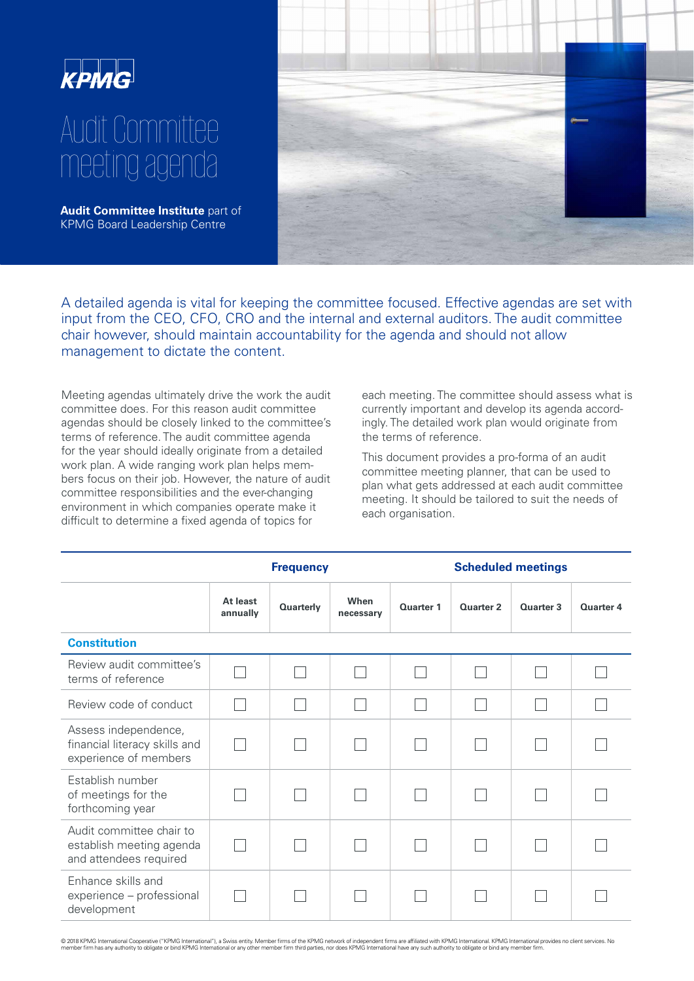

## Audit Committee meeting agenda

**Audit Committee Institute** part of KPMG Board Leadership Centre



A detailed agenda is vital for keeping the committee focused. Effective agendas are set with input from the CEO, CFO, CRO and the internal and external auditors. The audit committee chair however, should maintain accountability for the agenda and should not allow management to dictate the content.

Meeting agendas ultimately drive the work the audit committee does. For this reason audit committee agendas should be closely linked to the committee's terms of reference. The audit committee agenda for the year should ideally originate from a detailed work plan. A wide ranging work plan helps members focus on their job. However, the nature of audit committee responsibilities and the ever-changing environment in which companies operate make it difficult to determine a fixed agenda of topics for

each meeting. The committee should assess what is currently important and develop its agenda accordingly. The detailed work plan would originate from the terms of reference.

This document provides a pro-forma of an audit committee meeting planner, that can be used to plan what gets addressed at each audit committee meeting. It should be tailored to suit the needs of each organisation.

|                                                                                | <b>Frequency</b>     |                  |                   | <b>Scheduled meetings</b> |           |           |           |
|--------------------------------------------------------------------------------|----------------------|------------------|-------------------|---------------------------|-----------|-----------|-----------|
|                                                                                | At least<br>annually | <b>Quarterly</b> | When<br>necessary | Quarter 1                 | Quarter 2 | Quarter 3 | Quarter 4 |
| <b>Constitution</b>                                                            |                      |                  |                   |                           |           |           |           |
| Review audit committee's<br>terms of reference                                 |                      |                  |                   |                           |           |           |           |
| Review code of conduct                                                         |                      |                  |                   |                           |           |           |           |
| Assess independence,<br>financial literacy skills and<br>experience of members |                      |                  |                   |                           |           |           |           |
| Establish number<br>of meetings for the<br>forthcoming year                    |                      |                  |                   |                           |           |           |           |
| Audit committee chair to<br>establish meeting agenda<br>and attendees required |                      |                  |                   |                           |           |           |           |
| Enhance skills and<br>experience - professional<br>development                 |                      |                  |                   |                           |           |           |           |

© 2018 KPMG International Cooperative ("KPMG International"), a Swiss entity. Member firms of the KPMG network of independent firms are affiliated with KPMG Intenational. KPMG International provides no client services. No<br>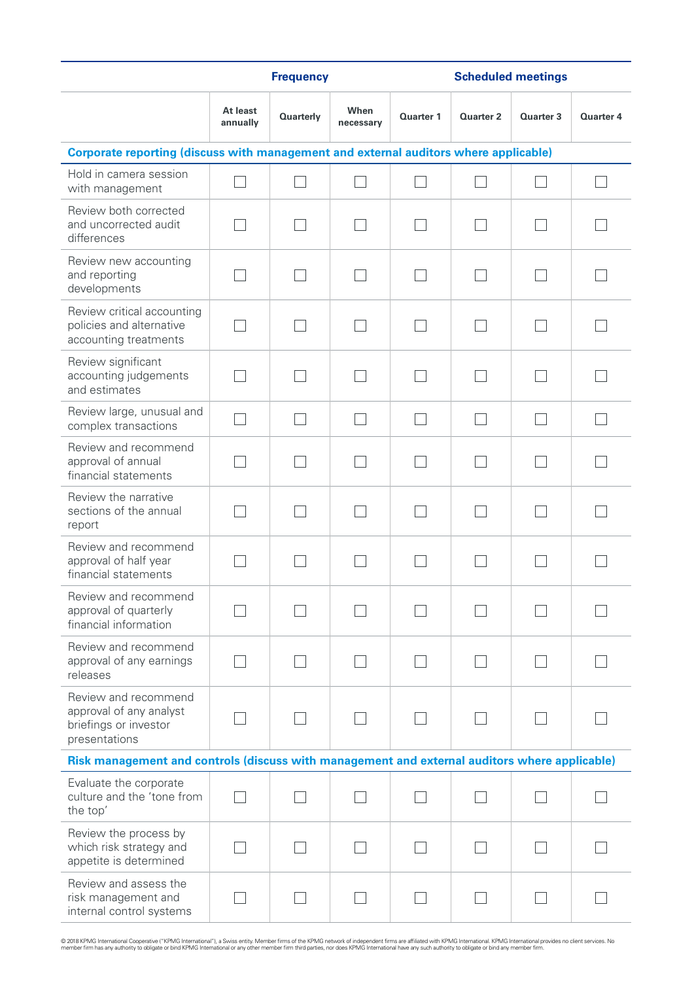|                                                                                               | <b>Frequency</b>     |                  |                   |                  | <b>Scheduled meetings</b> |           |           |  |
|-----------------------------------------------------------------------------------------------|----------------------|------------------|-------------------|------------------|---------------------------|-----------|-----------|--|
|                                                                                               | At least<br>annually | <b>Quarterly</b> | When<br>necessary | <b>Quarter 1</b> | Quarter 2                 | Quarter 3 | Quarter 4 |  |
| Corporate reporting (discuss with management and external auditors where applicable)          |                      |                  |                   |                  |                           |           |           |  |
| Hold in camera session<br>with management                                                     |                      |                  |                   |                  |                           |           |           |  |
| Review both corrected<br>and uncorrected audit<br>differences                                 |                      |                  |                   |                  |                           |           |           |  |
| Review new accounting<br>and reporting<br>developments                                        |                      |                  |                   |                  |                           |           |           |  |
| Review critical accounting<br>policies and alternative<br>accounting treatments               |                      |                  |                   |                  |                           |           |           |  |
| Review significant<br>accounting judgements<br>and estimates                                  |                      |                  |                   |                  |                           |           |           |  |
| Review large, unusual and<br>complex transactions                                             |                      |                  |                   |                  |                           |           |           |  |
| Review and recommend<br>approval of annual<br>financial statements                            |                      |                  |                   |                  |                           |           |           |  |
| Review the narrative<br>sections of the annual<br>report                                      |                      |                  |                   |                  |                           |           |           |  |
| Review and recommend<br>approval of half year<br>financial statements                         |                      |                  |                   |                  |                           |           |           |  |
| Review and recommend<br>approval of quarterly<br>financial information                        |                      |                  |                   |                  |                           |           |           |  |
| Review and recommend<br>approval of any earnings<br>releases                                  |                      |                  |                   |                  |                           |           |           |  |
| Review and recommend<br>approval of any analyst<br>briefings or investor<br>presentations     |                      |                  |                   |                  |                           |           |           |  |
| Risk management and controls (discuss with management and external auditors where applicable) |                      |                  |                   |                  |                           |           |           |  |
| Evaluate the corporate<br>culture and the 'tone from<br>the top'                              |                      |                  |                   |                  |                           |           |           |  |
| Review the process by<br>which risk strategy and<br>appetite is determined                    |                      |                  |                   |                  |                           |           |           |  |
| Review and assess the<br>risk management and<br>internal control systems                      |                      |                  |                   |                  |                           |           |           |  |

© 2018 KPMG International Cooperative ("KPMG International"), a Swiss entity. Member firms of the KPMG network of independent firms are affiliated with KPMG Intenational. KPMG International provides no client services. No<br>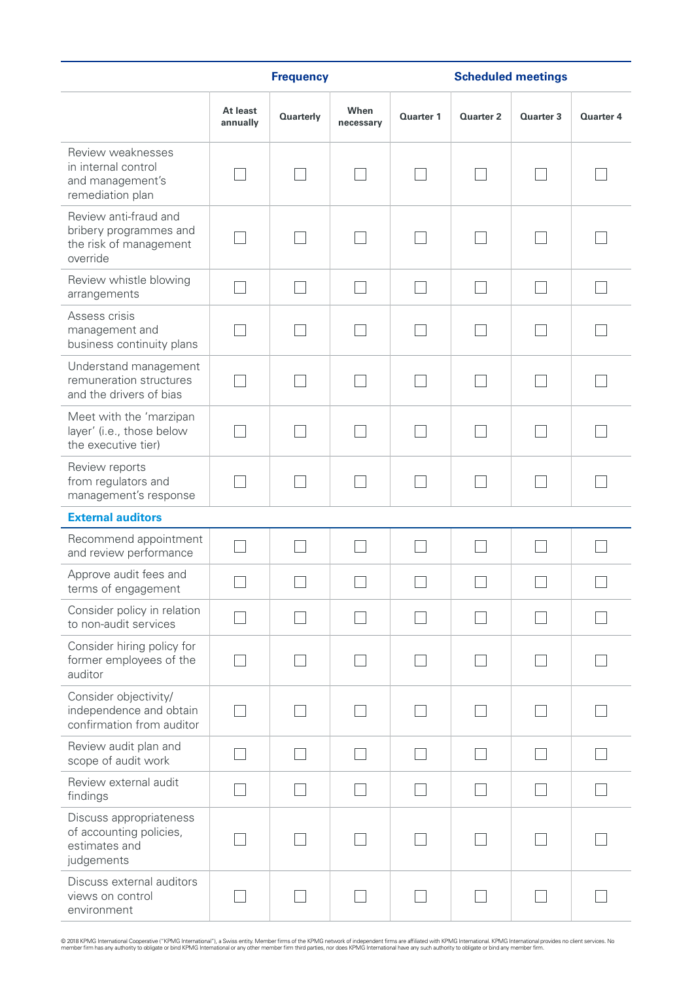|                                                                                       | <b>Frequency</b>     |                  |                   |                  | <b>Scheduled meetings</b> |                  |           |  |
|---------------------------------------------------------------------------------------|----------------------|------------------|-------------------|------------------|---------------------------|------------------|-----------|--|
|                                                                                       | At least<br>annually | <b>Quarterly</b> | When<br>necessary | <b>Quarter 1</b> | <b>Quarter 2</b>          | <b>Quarter 3</b> | Quarter 4 |  |
| Review weaknesses<br>in internal control<br>and management's<br>remediation plan      |                      |                  |                   |                  |                           |                  |           |  |
| Review anti-fraud and<br>bribery programmes and<br>the risk of management<br>override |                      |                  |                   |                  |                           |                  |           |  |
| Review whistle blowing<br>arrangements                                                |                      |                  |                   |                  |                           |                  |           |  |
| Assess crisis<br>management and<br>business continuity plans                          |                      |                  |                   |                  |                           |                  |           |  |
| Understand management<br>remuneration structures<br>and the drivers of bias           |                      |                  |                   |                  |                           |                  |           |  |
| Meet with the 'marzipan<br>layer' (i.e., those below<br>the executive tier)           |                      |                  |                   |                  |                           |                  |           |  |
| Review reports<br>from regulators and<br>management's response                        |                      |                  |                   |                  |                           |                  |           |  |
| <b>External auditors</b>                                                              |                      |                  |                   |                  |                           |                  |           |  |
| Recommend appointment<br>and review performance                                       |                      |                  |                   |                  |                           |                  |           |  |
| Approve audit fees and<br>terms of engagement                                         |                      |                  |                   |                  |                           |                  |           |  |
| Consider policy in relation<br>to non-audit services                                  |                      |                  |                   |                  |                           |                  |           |  |
| Consider hiring policy for<br>former employees of the<br>auditor                      |                      |                  |                   |                  |                           |                  |           |  |
| Consider objectivity/<br>independence and obtain<br>confirmation from auditor         |                      |                  |                   |                  |                           |                  |           |  |
| Review audit plan and<br>scope of audit work                                          |                      |                  |                   |                  |                           |                  |           |  |
| Review external audit<br>findings                                                     |                      |                  |                   |                  |                           |                  |           |  |
| Discuss appropriateness<br>of accounting policies,<br>estimates and<br>judgements     |                      |                  |                   |                  |                           |                  |           |  |
| Discuss external auditors<br>views on control<br>environment                          |                      |                  |                   |                  |                           |                  |           |  |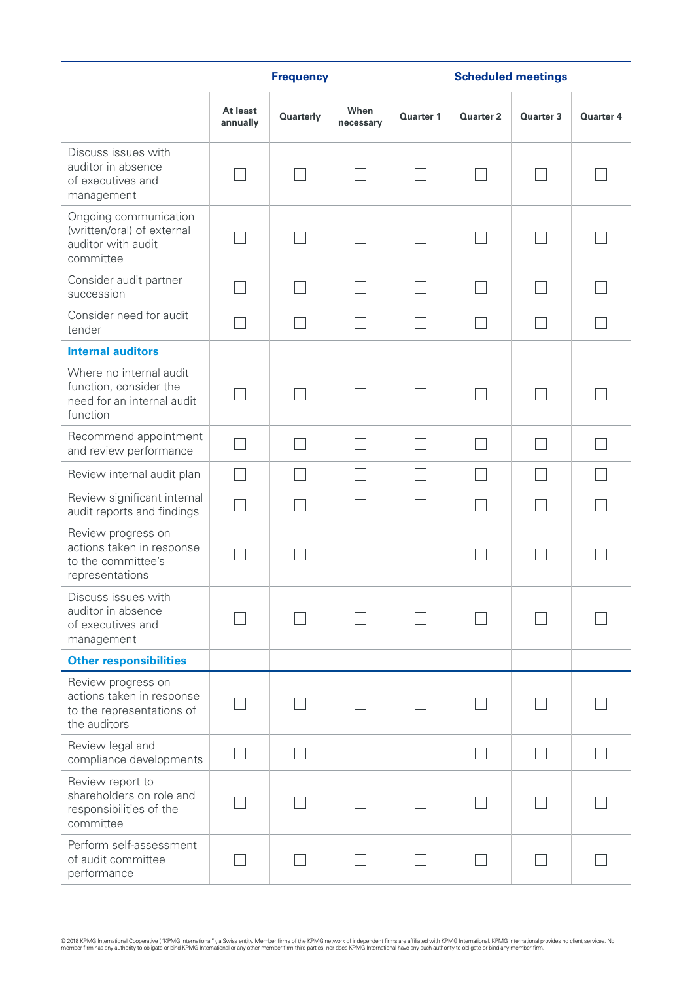|                                                                                              | <b>Frequency</b>     |                  |                   |                  | <b>Scheduled meetings</b> |                  |                  |  |
|----------------------------------------------------------------------------------------------|----------------------|------------------|-------------------|------------------|---------------------------|------------------|------------------|--|
|                                                                                              | At least<br>annually | <b>Quarterly</b> | When<br>necessarv | <b>Quarter 1</b> | <b>Quarter 2</b>          | <b>Quarter 3</b> | <b>Quarter 4</b> |  |
| Discuss issues with<br>auditor in absence<br>of executives and<br>management                 |                      |                  |                   |                  |                           |                  |                  |  |
| Ongoing communication<br>(written/oral) of external<br>auditor with audit<br>committee       |                      |                  |                   |                  |                           |                  |                  |  |
| Consider audit partner<br>succession                                                         |                      |                  |                   |                  |                           |                  |                  |  |
| Consider need for audit<br>tender                                                            |                      |                  |                   |                  |                           |                  |                  |  |
| <b>Internal auditors</b>                                                                     |                      |                  |                   |                  |                           |                  |                  |  |
| Where no internal audit<br>function, consider the<br>need for an internal audit<br>function  |                      |                  |                   |                  |                           |                  |                  |  |
| Recommend appointment<br>and review performance                                              |                      |                  |                   |                  |                           |                  |                  |  |
| Review internal audit plan                                                                   |                      |                  |                   |                  |                           |                  |                  |  |
| Review significant internal<br>audit reports and findings                                    |                      |                  |                   |                  |                           |                  |                  |  |
| Review progress on<br>actions taken in response<br>to the committee's<br>representations     |                      |                  |                   |                  |                           |                  |                  |  |
| Discuss issues with<br>auditor in absence<br>of executives and<br>management                 |                      |                  |                   |                  |                           |                  |                  |  |
| <b>Other responsibilities</b>                                                                |                      |                  |                   |                  |                           |                  |                  |  |
| Review progress on<br>actions taken in response<br>to the representations of<br>the auditors |                      |                  |                   |                  |                           |                  |                  |  |
| Review legal and<br>compliance developments                                                  |                      |                  |                   |                  |                           |                  |                  |  |
| Review report to<br>shareholders on role and<br>responsibilities of the<br>committee         |                      |                  |                   |                  |                           |                  |                  |  |
| Perform self-assessment<br>of audit committee<br>performance                                 |                      |                  |                   |                  |                           |                  |                  |  |